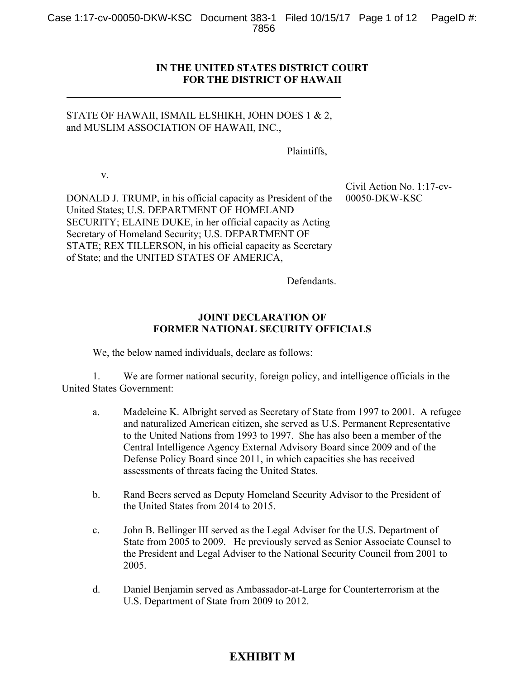#### **IN THE UNITED STATES DISTRICT COURT FOR THE DISTRICT OF HAWAII**

| STATE OF HAWAII, ISMAIL ELSHIKH, JOHN DOES 1 & 2,<br>and MUSLIM ASSOCIATION OF HAWAII, INC.,                                                                                                                                                                                                                                                       |                                            |
|----------------------------------------------------------------------------------------------------------------------------------------------------------------------------------------------------------------------------------------------------------------------------------------------------------------------------------------------------|--------------------------------------------|
| Plaintiffs,                                                                                                                                                                                                                                                                                                                                        |                                            |
| V.<br>DONALD J. TRUMP, in his official capacity as President of the<br>United States; U.S. DEPARTMENT OF HOMELAND<br>SECURITY; ELAINE DUKE, in her official capacity as Acting<br>Secretary of Homeland Security; U.S. DEPARTMENT OF<br>STATE; REX TILLERSON, in his official capacity as Secretary<br>of State; and the UNITED STATES OF AMERICA, | Civil Action No. 1:17-cv-<br>00050-DKW-KSC |
| Defendants.                                                                                                                                                                                                                                                                                                                                        |                                            |

#### **JOINT DECLARATION OF FORMER NATIONAL SECURITY OFFICIALS**

We, the below named individuals, declare as follows:

1. We are former national security, foreign policy, and intelligence officials in the United States Government:

- a. Madeleine K. Albright served as Secretary of State from 1997 to 2001. A refugee and naturalized American citizen, she served as U.S. Permanent Representative to the United Nations from 1993 to 1997. She has also been a member of the Central Intelligence Agency External Advisory Board since 2009 and of the Defense Policy Board since 2011, in which capacities she has received assessments of threats facing the United States.
- b. Rand Beers served as Deputy Homeland Security Advisor to the President of the United States from 2014 to 2015.
- c. John B. Bellinger III served as the Legal Adviser for the U.S. Department of State from 2005 to 2009. He previously served as Senior Associate Counsel to the President and Legal Adviser to the National Security Council from 2001 to 2005.
- d. Daniel Benjamin served as Ambassador-at-Large for Counterterrorism at the U.S. Department of State from 2009 to 2012.

# **EXHIBIT M**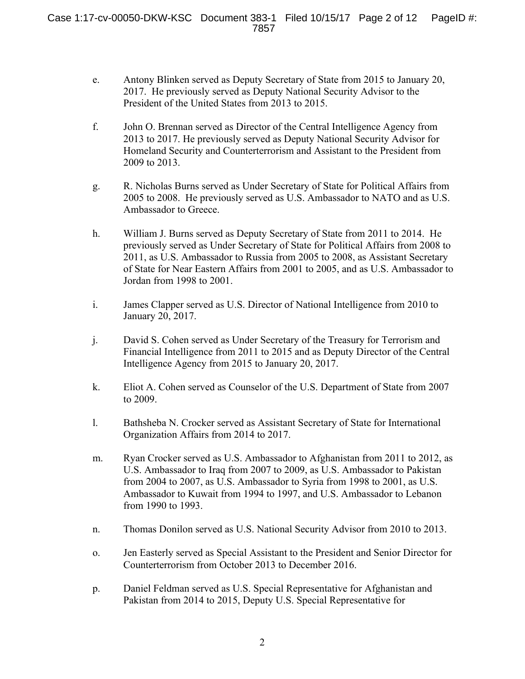- e. Antony Blinken served as Deputy Secretary of State from 2015 to January 20, 2017. He previously served as Deputy National Security Advisor to the President of the United States from 2013 to 2015.
- f. John O. Brennan served as Director of the Central Intelligence Agency from 2013 to 2017. He previously served as Deputy National Security Advisor for Homeland Security and Counterterrorism and Assistant to the President from 2009 to 2013.
- g. R. Nicholas Burns served as Under Secretary of State for Political Affairs from 2005 to 2008. He previously served as U.S. Ambassador to NATO and as U.S. Ambassador to Greece.
- h. William J. Burns served as Deputy Secretary of State from 2011 to 2014. He previously served as Under Secretary of State for Political Affairs from 2008 to 2011, as U.S. Ambassador to Russia from 2005 to 2008, as Assistant Secretary of State for Near Eastern Affairs from 2001 to 2005, and as U.S. Ambassador to Jordan from 1998 to 2001.
- i. James Clapper served as U.S. Director of National Intelligence from 2010 to January 20, 2017.
- j. David S. Cohen served as Under Secretary of the Treasury for Terrorism and Financial Intelligence from 2011 to 2015 and as Deputy Director of the Central Intelligence Agency from 2015 to January 20, 2017.
- k. Eliot A. Cohen served as Counselor of the U.S. Department of State from 2007 to 2009.
- l. Bathsheba N. Crocker served as Assistant Secretary of State for International Organization Affairs from 2014 to 2017.
- m. Ryan Crocker served as U.S. Ambassador to Afghanistan from 2011 to 2012, as U.S. Ambassador to Iraq from 2007 to 2009, as U.S. Ambassador to Pakistan from 2004 to 2007, as U.S. Ambassador to Syria from 1998 to 2001, as U.S. Ambassador to Kuwait from 1994 to 1997, and U.S. Ambassador to Lebanon from 1990 to 1993.
- n. Thomas Donilon served as U.S. National Security Advisor from 2010 to 2013.
- o. Jen Easterly served as Special Assistant to the President and Senior Director for Counterterrorism from October 2013 to December 2016.
- p. Daniel Feldman served as U.S. Special Representative for Afghanistan and Pakistan from 2014 to 2015, Deputy U.S. Special Representative for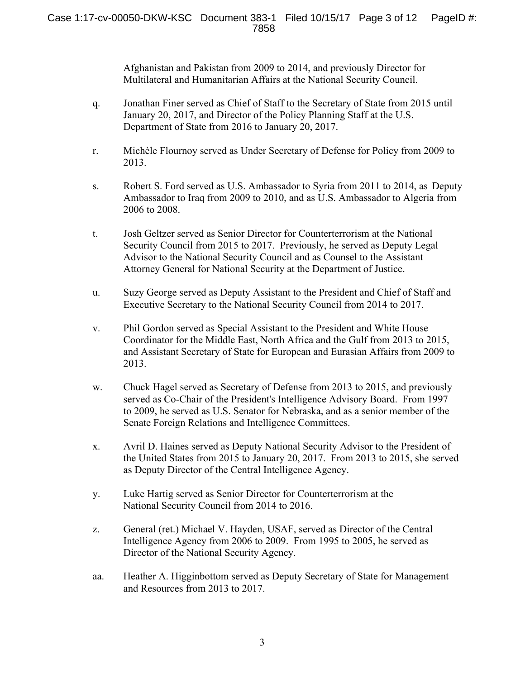Afghanistan and Pakistan from 2009 to 2014, and previously Director for Multilateral and Humanitarian Affairs at the National Security Council.

- q. Jonathan Finer served as Chief of Staff to the Secretary of State from 2015 until January 20, 2017, and Director of the Policy Planning Staff at the U.S. Department of State from 2016 to January 20, 2017.
- r. Michèle Flournoy served as Under Secretary of Defense for Policy from 2009 to 2013.
- s. Robert S. Ford served as U.S. Ambassador to Syria from 2011 to 2014, as Deputy Ambassador to Iraq from 2009 to 2010, and as U.S. Ambassador to Algeria from 2006 to 2008.
- t. Josh Geltzer served as Senior Director for Counterterrorism at the National Security Council from 2015 to 2017. Previously, he served as Deputy Legal Advisor to the National Security Council and as Counsel to the Assistant Attorney General for National Security at the Department of Justice.
- u. Suzy George served as Deputy Assistant to the President and Chief of Staff and Executive Secretary to the National Security Council from 2014 to 2017.
- v. Phil Gordon served as Special Assistant to the President and White House Coordinator for the Middle East, North Africa and the Gulf from 2013 to 2015, and Assistant Secretary of State for European and Eurasian Affairs from 2009 to 2013.
- w. Chuck Hagel served as Secretary of Defense from 2013 to 2015, and previously served as Co-Chair of the President's Intelligence Advisory Board. From 1997 to 2009, he served as U.S. Senator for Nebraska, and as a senior member of the Senate Foreign Relations and Intelligence Committees.
- x. Avril D. Haines served as Deputy National Security Advisor to the President of the United States from 2015 to January 20, 2017. From 2013 to 2015, she served as Deputy Director of the Central Intelligence Agency.
- y. Luke Hartig served as Senior Director for Counterterrorism at the National Security Council from 2014 to 2016.
- z. General (ret.) Michael V. Hayden, USAF, served as Director of the Central Intelligence Agency from 2006 to 2009. From 1995 to 2005, he served as Director of the National Security Agency.
- aa. Heather A. Higginbottom served as Deputy Secretary of State for Management and Resources from 2013 to 2017.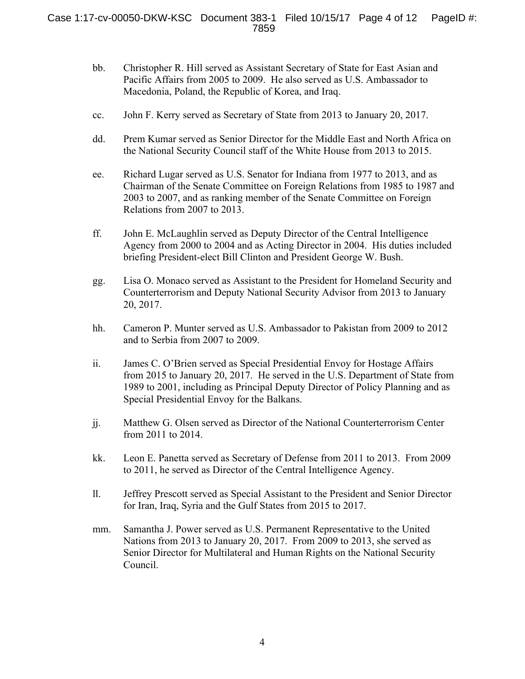- bb. Christopher R. Hill served as Assistant Secretary of State for East Asian and Pacific Affairs from 2005 to 2009. He also served as U.S. Ambassador to Macedonia, Poland, the Republic of Korea, and Iraq.
- cc. John F. Kerry served as Secretary of State from 2013 to January 20, 2017.
- dd. Prem Kumar served as Senior Director for the Middle East and North Africa on the National Security Council staff of the White House from 2013 to 2015.
- ee. Richard Lugar served as U.S. Senator for Indiana from 1977 to 2013, and as Chairman of the Senate Committee on Foreign Relations from 1985 to 1987 and 2003 to 2007, and as ranking member of the Senate Committee on Foreign Relations from 2007 to 2013.
- ff. John E. McLaughlin served as Deputy Director of the Central Intelligence Agency from 2000 to 2004 and as Acting Director in 2004. His duties included briefing President-elect Bill Clinton and President George W. Bush.
- gg. Lisa O. Monaco served as Assistant to the President for Homeland Security and Counterterrorism and Deputy National Security Advisor from 2013 to January 20, 2017.
- hh. Cameron P. Munter served as U.S. Ambassador to Pakistan from 2009 to 2012 and to Serbia from 2007 to 2009.
- ii. James C. O'Brien served as Special Presidential Envoy for Hostage Affairs from 2015 to January 20, 2017. He served in the U.S. Department of State from 1989 to 2001, including as Principal Deputy Director of Policy Planning and as Special Presidential Envoy for the Balkans.
- jj. Matthew G. Olsen served as Director of the National Counterterrorism Center from 2011 to 2014.
- kk. Leon E. Panetta served as Secretary of Defense from 2011 to 2013. From 2009 to 2011, he served as Director of the Central Intelligence Agency.
- ll. Jeffrey Prescott served as Special Assistant to the President and Senior Director for Iran, Iraq, Syria and the Gulf States from 2015 to 2017.
- mm. Samantha J. Power served as U.S. Permanent Representative to the United Nations from 2013 to January 20, 2017. From 2009 to 2013, she served as Senior Director for Multilateral and Human Rights on the National Security Council.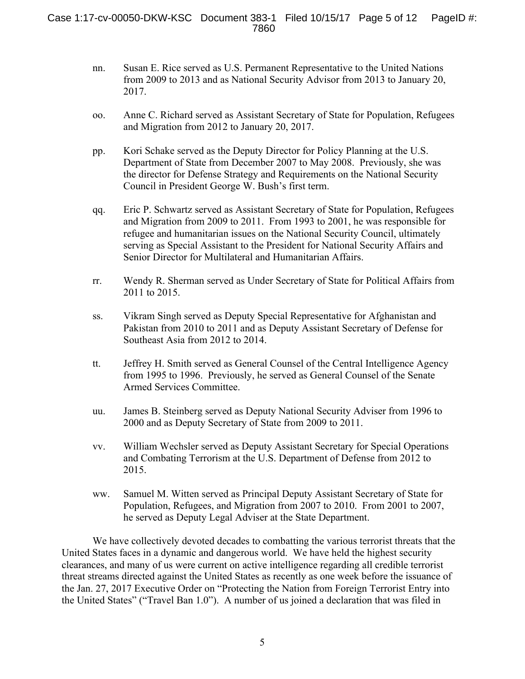- nn. Susan E. Rice served as U.S. Permanent Representative to the United Nations from 2009 to 2013 and as National Security Advisor from 2013 to January 20, 2017.
- oo. Anne C. Richard served as Assistant Secretary of State for Population, Refugees and Migration from 2012 to January 20, 2017.
- pp. Kori Schake served as the Deputy Director for Policy Planning at the U.S. Department of State from December 2007 to May 2008. Previously, she was the director for Defense Strategy and Requirements on the National Security Council in President George W. Bush's first term.
- qq. Eric P. Schwartz served as Assistant Secretary of State for Population, Refugees and Migration from 2009 to 2011. From 1993 to 2001, he was responsible for refugee and humanitarian issues on the National Security Council, ultimately serving as Special Assistant to the President for National Security Affairs and Senior Director for Multilateral and Humanitarian Affairs.
- rr. Wendy R. Sherman served as Under Secretary of State for Political Affairs from 2011 to 2015.
- ss. Vikram Singh served as Deputy Special Representative for Afghanistan and Pakistan from 2010 to 2011 and as Deputy Assistant Secretary of Defense for Southeast Asia from 2012 to 2014.
- tt. Jeffrey H. Smith served as General Counsel of the Central Intelligence Agency from 1995 to 1996. Previously, he served as General Counsel of the Senate Armed Services Committee.
- uu. James B. Steinberg served as Deputy National Security Adviser from 1996 to 2000 and as Deputy Secretary of State from 2009 to 2011.
- vv. William Wechsler served as Deputy Assistant Secretary for Special Operations and Combating Terrorism at the U.S. Department of Defense from 2012 to 2015.
- ww. Samuel M. Witten served as Principal Deputy Assistant Secretary of State for Population, Refugees, and Migration from 2007 to 2010. From 2001 to 2007, he served as Deputy Legal Adviser at the State Department.

We have collectively devoted decades to combatting the various terrorist threats that the United States faces in a dynamic and dangerous world. We have held the highest security clearances, and many of us were current on active intelligence regarding all credible terrorist threat streams directed against the United States as recently as one week before the issuance of the Jan. 27, 2017 Executive Order on "Protecting the Nation from Foreign Terrorist Entry into the United States" ("Travel Ban 1.0"). A number of us joined a declaration that was filed in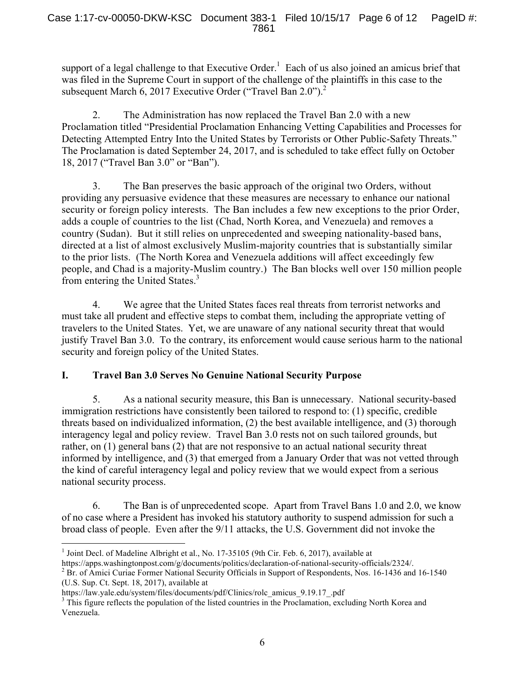support of a legal challenge to that Executive Order.<sup>1</sup> Each of us also joined an amicus brief that was filed in the Supreme Court in support of the challenge of the plaintiffs in this case to the subsequent March 6, 2017 Executive Order ("Travel Ban 2.0").<sup>2</sup>

2. The Administration has now replaced the Travel Ban 2.0 with a new Proclamation titled "Presidential Proclamation Enhancing Vetting Capabilities and Processes for Detecting Attempted Entry Into the United States by Terrorists or Other Public-Safety Threats." The Proclamation is dated September 24, 2017, and is scheduled to take effect fully on October 18, 2017 ("Travel Ban 3.0" or "Ban").

3. The Ban preserves the basic approach of the original two Orders, without providing any persuasive evidence that these measures are necessary to enhance our national security or foreign policy interests. The Ban includes a few new exceptions to the prior Order, adds a couple of countries to the list (Chad, North Korea, and Venezuela) and removes a country (Sudan). But it still relies on unprecedented and sweeping nationality-based bans, directed at a list of almost exclusively Muslim-majority countries that is substantially similar to the prior lists. (The North Korea and Venezuela additions will affect exceedingly few people, and Chad is a majority-Muslim country.) The Ban blocks well over 150 million people from entering the United States.<sup>3</sup>

4. We agree that the United States faces real threats from terrorist networks and must take all prudent and effective steps to combat them, including the appropriate vetting of travelers to the United States. Yet, we are unaware of any national security threat that would justify Travel Ban 3.0. To the contrary, its enforcement would cause serious harm to the national security and foreign policy of the United States.

# **I. Travel Ban 3.0 Serves No Genuine National Security Purpose**

5. As a national security measure, this Ban is unnecessary. National security-based immigration restrictions have consistently been tailored to respond to: (1) specific, credible threats based on individualized information, (2) the best available intelligence, and (3) thorough interagency legal and policy review. Travel Ban 3.0 rests not on such tailored grounds, but rather, on (1) general bans (2) that are not responsive to an actual national security threat informed by intelligence, and (3) that emerged from a January Order that was not vetted through the kind of careful interagency legal and policy review that we would expect from a serious national security process.

6. The Ban is of unprecedented scope. Apart from Travel Bans 1.0 and 2.0, we know of no case where a President has invoked his statutory authority to suspend admission for such a broad class of people. Even after the 9/11 attacks, the U.S. Government did not invoke the

 $<sup>1</sup>$  Joint Decl. of Madeline Albright et al., No. 17-35105 (9th Cir. Feb. 6, 2017), available at</sup>

https://apps.washingtonpost.com/g/documents/politics/declaration-of-national-security-officials/2324/.<br><sup>2</sup> Br. of Amici Curiae Former National Security Officials in Support of Respondents, Nos. 16-1436 and 16-1540 (U.S. Sup. Ct. Sept. 18, 2017), available at

https://law.yale.edu/system/files/documents/pdf/Clinics/rolc\_amicus\_9.19.17\_.pdf

<sup>&</sup>lt;sup>3</sup> This figure reflects the population of the listed countries in the Proclamation, excluding North Korea and Venezuela.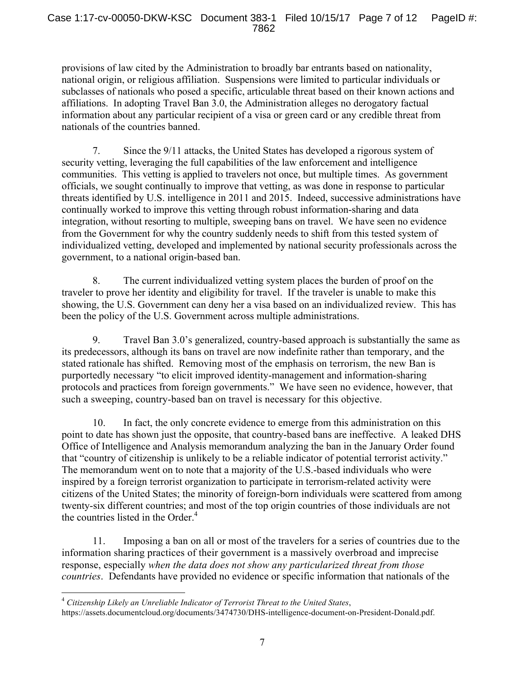provisions of law cited by the Administration to broadly bar entrants based on nationality, national origin, or religious affiliation. Suspensions were limited to particular individuals or subclasses of nationals who posed a specific, articulable threat based on their known actions and affiliations. In adopting Travel Ban 3.0, the Administration alleges no derogatory factual information about any particular recipient of a visa or green card or any credible threat from nationals of the countries banned.

7. Since the 9/11 attacks, the United States has developed a rigorous system of security vetting, leveraging the full capabilities of the law enforcement and intelligence communities. This vetting is applied to travelers not once, but multiple times. As government officials, we sought continually to improve that vetting, as was done in response to particular threats identified by U.S. intelligence in 2011 and 2015. Indeed, successive administrations have continually worked to improve this vetting through robust information-sharing and data integration, without resorting to multiple, sweeping bans on travel. We have seen no evidence from the Government for why the country suddenly needs to shift from this tested system of individualized vetting, developed and implemented by national security professionals across the government, to a national origin-based ban.

8. The current individualized vetting system places the burden of proof on the traveler to prove her identity and eligibility for travel. If the traveler is unable to make this showing, the U.S. Government can deny her a visa based on an individualized review. This has been the policy of the U.S. Government across multiple administrations.

9. Travel Ban 3.0's generalized, country-based approach is substantially the same as its predecessors, although its bans on travel are now indefinite rather than temporary, and the stated rationale has shifted. Removing most of the emphasis on terrorism, the new Ban is purportedly necessary "to elicit improved identity-management and information-sharing protocols and practices from foreign governments." We have seen no evidence, however, that such a sweeping, country-based ban on travel is necessary for this objective.

10. In fact, the only concrete evidence to emerge from this administration on this point to date has shown just the opposite, that country-based bans are ineffective. A leaked DHS Office of Intelligence and Analysis memorandum analyzing the ban in the January Order found that "country of citizenship is unlikely to be a reliable indicator of potential terrorist activity." The memorandum went on to note that a majority of the U.S.-based individuals who were inspired by a foreign terrorist organization to participate in terrorism-related activity were citizens of the United States; the minority of foreign-born individuals were scattered from among twenty-six different countries; and most of the top origin countries of those individuals are not the countries listed in the Order. $4$ 

11. Imposing a ban on all or most of the travelers for a series of countries due to the information sharing practices of their government is a massively overbroad and imprecise response, especially *when the data does not show any particularized threat from those countries*. Defendants have provided no evidence or specific information that nationals of the

 <sup>4</sup> *Citizenship Likely an Unreliable Indicator of Terrorist Threat to the United States*, https://assets.documentcloud.org/documents/3474730/DHS-intelligence-document-on-President-Donald.pdf.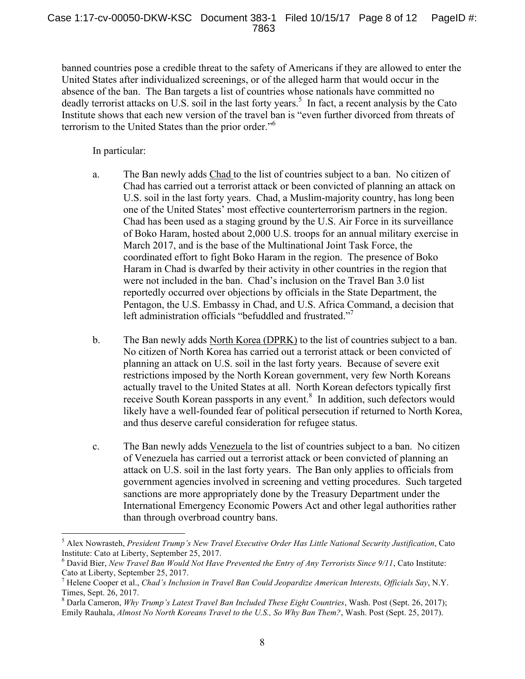banned countries pose a credible threat to the safety of Americans if they are allowed to enter the United States after individualized screenings, or of the alleged harm that would occur in the absence of the ban. The Ban targets a list of countries whose nationals have committed no deadly terrorist attacks on U.S. soil in the last forty years.<sup>5</sup> In fact, a recent analysis by the Cato Institute shows that each new version of the travel ban is "even further divorced from threats of terrorism to the United States than the prior order."<sup>6</sup>

In particular:

- a. The Ban newly adds Chad to the list of countries subject to a ban. No citizen of Chad has carried out a terrorist attack or been convicted of planning an attack on U.S. soil in the last forty years. Chad, a Muslim-majority country, has long been one of the United States' most effective counterterrorism partners in the region. Chad has been used as a staging ground by the U.S. Air Force in its surveillance of Boko Haram, hosted about 2,000 U.S. troops for an annual military exercise in March 2017, and is the base of the Multinational Joint Task Force, the coordinated effort to fight Boko Haram in the region. The presence of Boko Haram in Chad is dwarfed by their activity in other countries in the region that were not included in the ban. Chad's inclusion on the Travel Ban 3.0 list reportedly occurred over objections by officials in the State Department, the Pentagon, the U.S. Embassy in Chad, and U.S. Africa Command, a decision that left administration officials "befuddled and frustrated."<sup>7</sup>
- b. The Ban newly adds North Korea (DPRK) to the list of countries subject to a ban. No citizen of North Korea has carried out a terrorist attack or been convicted of planning an attack on U.S. soil in the last forty years. Because of severe exit restrictions imposed by the North Korean government, very few North Koreans actually travel to the United States at all. North Korean defectors typically first receive South Korean passports in any event.<sup>8</sup> In addition, such defectors would likely have a well-founded fear of political persecution if returned to North Korea, and thus deserve careful consideration for refugee status.
- c. The Ban newly adds Venezuela to the list of countries subject to a ban. No citizen of Venezuela has carried out a terrorist attack or been convicted of planning an attack on U.S. soil in the last forty years. The Ban only applies to officials from government agencies involved in screening and vetting procedures. Such targeted sanctions are more appropriately done by the Treasury Department under the International Emergency Economic Powers Act and other legal authorities rather than through overbroad country bans.

<sup>8</sup> Darla Cameron, *Why Trump's Latest Travel Ban Included These Eight Countries*, Wash. Post (Sept. 26, 2017); Emily Rauhala, *Almost No North Koreans Travel to the U.S., So Why Ban Them?*, Wash. Post (Sept. 25, 2017).

 <sup>5</sup> Alex Nowrasteh, *President Trump's New Travel Executive Order Has Little National Security Justification*, Cato Institute: Cato at Liberty, September 25, 2017.

<sup>6</sup> David Bier, *New Travel Ban Would Not Have Prevented the Entry of Any Terrorists Since 9/11*, Cato Institute: Cato at Liberty, September 25, 2017.

<sup>7</sup> Helene Cooper et al., *Chad's Inclusion in Travel Ban Could Jeopardize American Interests, Officials Say*, N.Y. Times, Sept. 26, 2017.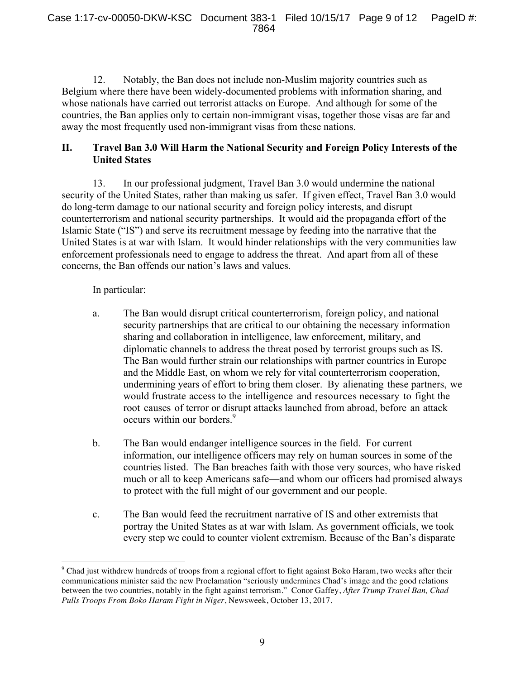12. Notably, the Ban does not include non-Muslim majority countries such as Belgium where there have been widely-documented problems with information sharing, and whose nationals have carried out terrorist attacks on Europe. And although for some of the countries, the Ban applies only to certain non-immigrant visas, together those visas are far and away the most frequently used non-immigrant visas from these nations.

## **II. Travel Ban 3.0 Will Harm the National Security and Foreign Policy Interests of the United States**

13. In our professional judgment, Travel Ban 3.0 would undermine the national security of the United States, rather than making us safer. If given effect, Travel Ban 3.0 would do long-term damage to our national security and foreign policy interests, and disrupt counterterrorism and national security partnerships. It would aid the propaganda effort of the Islamic State ("IS") and serve its recruitment message by feeding into the narrative that the United States is at war with Islam. It would hinder relationships with the very communities law enforcement professionals need to engage to address the threat. And apart from all of these concerns, the Ban offends our nation's laws and values.

In particular:

 $\overline{a}$ 

- a. The Ban would disrupt critical counterterrorism, foreign policy, and national security partnerships that are critical to our obtaining the necessary information sharing and collaboration in intelligence, law enforcement, military, and diplomatic channels to address the threat posed by terrorist groups such as IS. The Ban would further strain our relationships with partner countries in Europe and the Middle East, on whom we rely for vital counterterrorism cooperation, undermining years of effort to bring them closer. By alienating these partners, we would frustrate access to the intelligence and resources necessary to fight the root causes of terror or disrupt attacks launched from abroad, before an attack occurs within our borders.<sup>9</sup>
- b. The Ban would endanger intelligence sources in the field. For current information, our intelligence officers may rely on human sources in some of the countries listed. The Ban breaches faith with those very sources, who have risked much or all to keep Americans safe—and whom our officers had promised always to protect with the full might of our government and our people.
- c. The Ban would feed the recruitment narrative of IS and other extremists that portray the United States as at war with Islam. As government officials, we took every step we could to counter violent extremism. Because of the Ban's disparate

<sup>9</sup> Chad just withdrew hundreds of troops from a regional effort to fight against Boko Haram, two weeks after their communications minister said the new Proclamation "seriously undermines Chad's image and the good relations between the two countries, notably in the fight against terrorism." Conor Gaffey, *After Trump Travel Ban, Chad Pulls Troops From Boko Haram Fight in Niger*, Newsweek, October 13, 2017.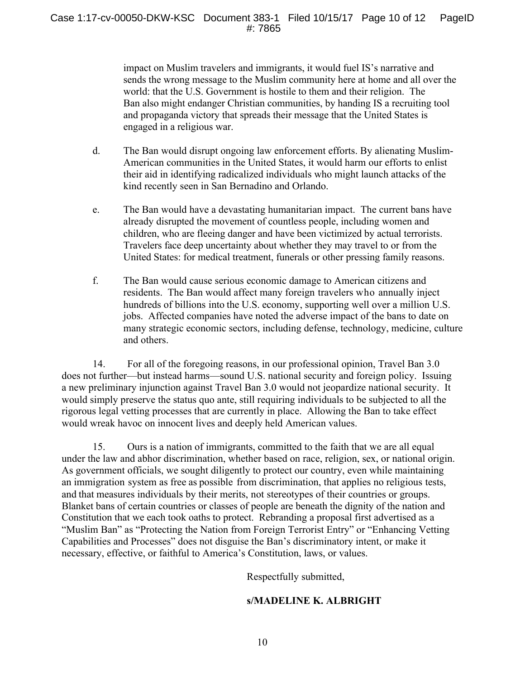impact on Muslim travelers and immigrants, it would fuel IS's narrative and sends the wrong message to the Muslim community here at home and all over the world: that the U.S. Government is hostile to them and their religion. The Ban also might endanger Christian communities, by handing IS a recruiting tool and propaganda victory that spreads their message that the United States is engaged in a religious war.

- d. The Ban would disrupt ongoing law enforcement efforts. By alienating Muslim-American communities in the United States, it would harm our efforts to enlist their aid in identifying radicalized individuals who might launch attacks of the kind recently seen in San Bernadino and Orlando.
- e. The Ban would have a devastating humanitarian impact. The current bans have already disrupted the movement of countless people, including women and children, who are fleeing danger and have been victimized by actual terrorists. Travelers face deep uncertainty about whether they may travel to or from the United States: for medical treatment, funerals or other pressing family reasons.
- f. The Ban would cause serious economic damage to American citizens and residents. The Ban would affect many foreign travelers who annually inject hundreds of billions into the U.S. economy, supporting well over a million U.S. jobs. Affected companies have noted the adverse impact of the bans to date on many strategic economic sectors, including defense, technology, medicine, culture and others.

14. For all of the foregoing reasons, in our professional opinion, Travel Ban 3.0 does not further—but instead harms—sound U.S. national security and foreign policy. Issuing a new preliminary injunction against Travel Ban 3.0 would not jeopardize national security. It would simply preserve the status quo ante, still requiring individuals to be subjected to all the rigorous legal vetting processes that are currently in place. Allowing the Ban to take effect would wreak havoc on innocent lives and deeply held American values.

15. Ours is a nation of immigrants, committed to the faith that we are all equal under the law and abhor discrimination, whether based on race, religion, sex, or national origin. As government officials, we sought diligently to protect our country, even while maintaining an immigration system as free as possible from discrimination, that applies no religious tests, and that measures individuals by their merits, not stereotypes of their countries or groups. Blanket bans of certain countries or classes of people are beneath the dignity of the nation and Constitution that we each took oaths to protect. Rebranding a proposal first advertised as a "Muslim Ban" as "Protecting the Nation from Foreign Terrorist Entry" or "Enhancing Vetting Capabilities and Processes" does not disguise the Ban's discriminatory intent, or make it necessary, effective, or faithful to America's Constitution, laws, or values.

Respectfully submitted,

# **s/MADELINE K. ALBRIGHT**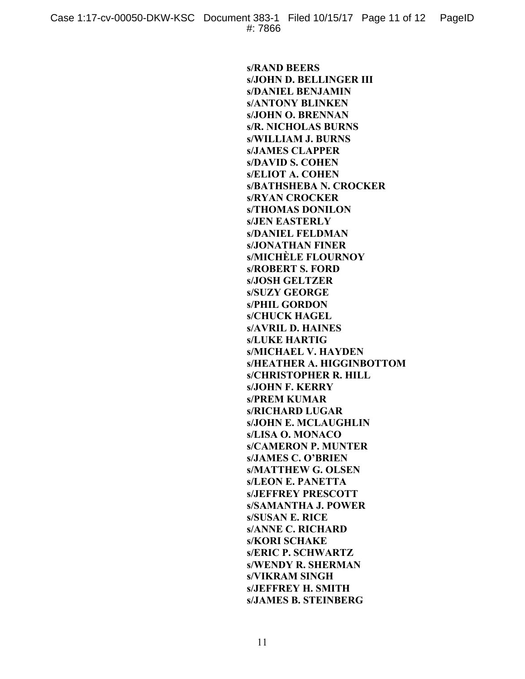**s/RAND BEERS s/JOHN D. BELLINGER III s/DANIEL BENJAMIN s/ANTONY BLINKEN s/JOHN O. BRENNAN s/R. NICHOLAS BURNS s/WILLIAM J. BURNS s/JAMES CLAPPER s/DAVID S. COHEN s/ELIOT A. COHEN s/BATHSHEBA N. CROCKER s/RYAN CROCKER s/THOMAS DONILON s/JEN EASTERLY s/DANIEL FELDMAN s/JONATHAN FINER s/MICHÈLE FLOURNOY s/ROBERT S. FORD s/JOSH GELTZER s/SUZY GEORGE s/PHIL GORDON s/CHUCK HAGEL s/AVRIL D. HAINES s/LUKE HARTIG s/MICHAEL V. HAYDEN s/HEATHER A. HIGGINBOTTOM s/CHRISTOPHER R. HILL s/JOHN F. KERRY s/PREM KUMAR s/RICHARD LUGAR s/JOHN E. MCLAUGHLIN s/LISA O. MONACO s/CAMERON P. MUNTER s/JAMES C. O'BRIEN s/MATTHEW G. OLSEN s/LEON E. PANETTA s/JEFFREY PRESCOTT s/SAMANTHA J. POWER s/SUSAN E. RICE s/ANNE C. RICHARD s/KORI SCHAKE s/ERIC P. SCHWARTZ s/WENDY R. SHERMAN s/VIKRAM SINGH s/JEFFREY H. SMITH s/JAMES B. STEINBERG**